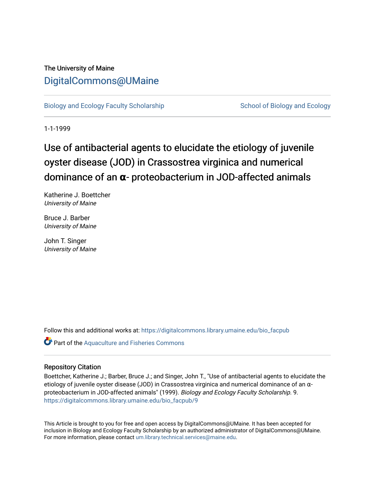## The University of Maine [DigitalCommons@UMaine](https://digitalcommons.library.umaine.edu/)

[Biology and Ecology Faculty Scholarship](https://digitalcommons.library.umaine.edu/bio_facpub) [School of Biology and Ecology](https://digitalcommons.library.umaine.edu/bio) and Ecology

1-1-1999

# Use of antibacterial agents to elucidate the etiology of juvenile oyster disease (JOD) in Crassostrea virginica and numerical dominance of an **α**- proteobacterium in JOD-affected animals

Katherine J. Boettcher University of Maine

Bruce J. Barber University of Maine

John T. Singer University of Maine

Follow this and additional works at: [https://digitalcommons.library.umaine.edu/bio\\_facpub](https://digitalcommons.library.umaine.edu/bio_facpub?utm_source=digitalcommons.library.umaine.edu%2Fbio_facpub%2F9&utm_medium=PDF&utm_campaign=PDFCoverPages) 

**Part of the [Aquaculture and Fisheries Commons](http://network.bepress.com/hgg/discipline/78?utm_source=digitalcommons.library.umaine.edu%2Fbio_facpub%2F9&utm_medium=PDF&utm_campaign=PDFCoverPages)** 

### Repository Citation

Boettcher, Katherine J.; Barber, Bruce J.; and Singer, John T., "Use of antibacterial agents to elucidate the etiology of juvenile oyster disease (JOD) in Crassostrea virginica and numerical dominance of an αproteobacterium in JOD-affected animals" (1999). Biology and Ecology Faculty Scholarship. 9. [https://digitalcommons.library.umaine.edu/bio\\_facpub/9](https://digitalcommons.library.umaine.edu/bio_facpub/9?utm_source=digitalcommons.library.umaine.edu%2Fbio_facpub%2F9&utm_medium=PDF&utm_campaign=PDFCoverPages) 

This Article is brought to you for free and open access by DigitalCommons@UMaine. It has been accepted for inclusion in Biology and Ecology Faculty Scholarship by an authorized administrator of DigitalCommons@UMaine. For more information, please contact [um.library.technical.services@maine.edu](mailto:um.library.technical.services@maine.edu).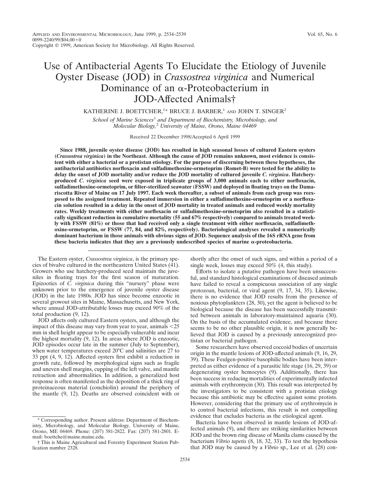## Use of Antibacterial Agents To Elucidate the Etiology of Juvenile Oyster Disease (JOD) in *Crassostrea virginica* and Numerical Dominance of an  $\alpha$ -Proteobacterium in JOD-Affected Animals†

KATHERINE J. BOETTCHER,<sup>1\*</sup> BRUCE J. BARBER,<sup>1</sup> and JOHN T. SINGER<sup>2</sup>

*School of Marine Sciences*<sup>1</sup> *and Department of Biochemistry, Microbiology, and Molecular Biology,*<sup>2</sup> *University of Maine, Orono, Maine 04469*

Received 22 December 1998/Accepted 6 April 1999

**Since 1988, juvenile oyster disease (JOD) has resulted in high seasonal losses of cultured Eastern oysters (***Crassostrea virginica***) in the Northeast. Although the cause of JOD remains unknown, most evidence is consistent with either a bacterial or a protistan etiology. For the purpose of discerning between these hypotheses, the antibacterial antibiotics norfloxacin and sulfadimethoxine-ormetoprim (Romet-B) were tested for the ability to delay the onset of JOD mortality and/or reduce the JOD mortality of cultured juvenile** *C. virginica***. Hatcheryproduced** *C. virginica* **seed were exposed in triplicate groups of 3,000 animals each to either norfloxacin, sulfadimethoxine-ormetoprim, or filter-sterilized seawater (FSSW) and deployed in floating trays on the Damariscotta River of Maine on 17 July 1997. Each week thereafter, a subset of animals from each group was reexposed to the assigned treatment. Repeated immersion in either a sulfadimethoxine-ormetoprim or a norfloxacin solution resulted in a delay in the onset of JOD mortality in treated animals and reduced weekly mortality rates. Weekly treatments with either norfloxacin or sulfadimethoxine-ormetoprim also resulted in a statistically significant reduction in cumulative mortality (55 and 67% respectively) compared to animals treated weekly with FSSW (81%) or those that had received only a single treatment with either norfloxacin, sulfadimethoxine-ormetoprim, or FSSW (77, 84, and 82%, respectively). Bacteriological analyses revealed a numerically dominant bacterium in those animals with obvious signs of JOD. Sequence analysis of the 16S rRNA gene from these bacteria indicates that they are a previously undescribed species of marine** a**-proteobacteria.**

The Eastern oyster, *Crassostrea virginica*, is the primary species of bivalve cultured in the northeastern United States (41). Growers who use hatchery-produced seed maintain the juveniles in floating trays for the first season of maturation. Epizootics of *C. virginica* during this "nursery" phase were unknown prior to the emergence of juvenile oyster disease (JOD) in the late 1980s. JOD has since become enzootic in several growout sites in Maine, Massachusetts, and New York, where annual JOD-attributable losses may exceed 90% of the total production (9, 12).

JOD affects only cultured Eastern oysters, and although the impact of this disease may vary from year to year, animals  $<$  25 mm in shell height appear to be especially vulnerable and incur the highest mortality (9, 12). In areas where JOD is enzootic, JOD episodes occur late in the summer (July to September), when water temperatures exceed 20°C and salinities are 27 to 33 ppt (4, 9, 12). Affected oysters first exhibit a reduction in growth rate, followed by morphological signs such as fragile and uneven shell margins, cupping of the left valve, and mantle retraction and abnormalities. In addition, a generalized host response is often manifested as the deposition of a thick ring of proteinaceous material (conchiolin) around the periphery of the mantle (9, 12). Deaths are observed coincident with or

shortly after the onset of such signs, and within a period of a single week, losses may exceed 50% (4, this study).

Efforts to isolate a putative pathogen have been unsuccessful, and standard histological examinations of diseased animals have failed to reveal a conspicuous association of any single protozoan, bacterial, or viral agent (9, 17, 34, 35). Likewise, there is no evidence that JOD results from the presence of noxious phytoplankters (28, 30), yet the agent is believed to be biological because the disease has been successfully transmitted between animals in laboratory-maintained aquaria (30). On the basis of the accumulated evidence, and because there seems to be no other plausible origin, it is now generally believed that JOD is caused by a previously unrecognized protistan or bacterial pathogen.

Some researchers have observed coccoid bodies of uncertain origin in the mantle lesions of JOD-affected animals (9, 16, 29, 39). These Feulgen-positive basophilic bodies have been interpreted as either evidence of a parasitic life stage (16, 29, 39) or degenerating oyster hemocytes (9). Additionally, there has been success in reducing mortalities of experimentally infected animals with erythromycin (30). This result was interpreted by the investigators to be consistent with a protistan etiology because this antibiotic may be effective against some protists. However, considering that the primary use of erythromycin is to control bacterial infections, this result is not compelling evidence that excludes bacteria as the etiological agent.

Bacteria have been observed in mantle lesions of JOD-affected animals (9), and there are striking similarities between JOD and the brown ring disease of Manila clams caused by the bacterium *Vibrio tapetis* (8, 18, 32, 33). To test the hypothesis that JOD may be caused by a *Vibrio* sp., Lee et al. (28) con-

<sup>\*</sup> Corresponding author. Present address: Department of Biochemistry, Microbiology, and Molecular Biology, University of Maine, Orono, ME 04469. Phone: (207) 581-2822. Fax: (207) 581-2801. Email: boettche@maine.maine.edu.

<sup>†</sup> This is Maine Agricultural and Forestry Experiment Station Publication number 2328.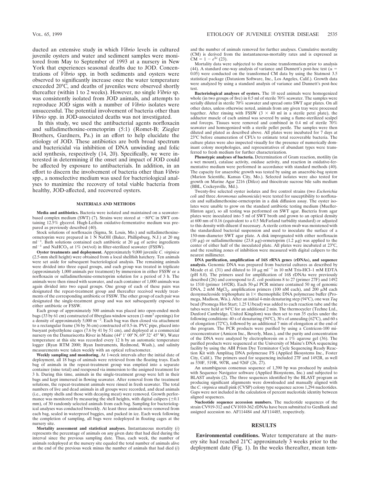Mortality data were subjected to the arcsine transformation prior to analysis (44). A standard one-way analysis of variance and Dunnett's post-hoc test ( $\alpha$  = 0.05) were conducted on the transformed CM data by using the Statmost 3.5 statistical package (Dataxiom Software, Inc., Los Angeles, Calif.). Growth data were analyzed by using a standard analysis of variance and Dunnett's post-hoc test.

**Bacteriological analyses of oysters.** The 10 seed animals were homogenized whole (in two groups of five) in 0.5 ml of sterile 70% seawater. The samples were serially diluted in sterile 70% seawater and spread onto SWT agar plates. On all other dates, unless otherwise noted, animals from any given tray were processed together. After rinsing with FSSW  $(3 \times 40 \text{ ml in a sterile petri plate})$ , the adductor muscle of each animal was severed by using a flame-sterilized scalpel and forceps. Tissues were removed and combined in 0.4 ml of sterile 70% seawater and homogenized with a sterile pellet pestle. The samples were then diluted and plated as described above. All plates were incubated for 7 days at 23°C before enumeration of CFUs to estimate total recoverable bacteria. The culture plates were also inspected visually for the presence of numerically dominant colony morphologies, and representatives of abundant types were transferred to fresh medium for further characterization.

**Phenotypic analyses of bacteria.** Determination of Gram reaction, motility (in a wet mount), catalase activity, oxidase activity, and reaction in oxidative-fermentative medium were performed in accordance with standard methods (40). The capacity for anaerobic growth was tested by using an anaerobic-bag system (Marion Scientific, Kansas City, Mo.). Selected isolates were also tested for growth on Marine Agar 2216 (Difco) and thiocitrate sucrose bile salts medium (BBL, Cockeysville, Md.).

Twenty-five selected oyster isolates and five control strains (two *Escherichia coli* and three *Aeromonas salmonicida*) were tested for susceptibility to norfloxacin and sulfadimethoxine-ormetoprim in a disk diffusion assay. The oyster isolates were unable to grow on the standard antibiotic testing medium (Mueller-Hinton agar), so all testing was performed on SWT agar. Bacteria from agar plates were inoculated into 5 ml of SWT broth and grown to an optical density at 600 nm of 0.16 (equivalent to a 0.5 McFarland turbidity standard) or adjusted to this density with diluent if necessary. A sterile cotton swab was moistened with the standardized bacterial suspension and used to inoculate the surface of a 150-mm-diameter SWT agar plate. A disk impregnated with either norfloxacin (10  $\mu$ g) or sulfadimethoxine (23.8  $\mu$ g)-ormetoprim (1.2  $\mu$ g) was applied to the center of either half of the inoculated plate. All plates were incubated at 23°C, and the resulting zones of inhibition were measured with digital calipers to the nearest millimeter.

**DNA purification, amplification of 16S rRNA genes (rDNAs), and sequence analysis.** Genomic DNA was prepared from bacterial cultures as described by Meade et al. (31) and diluted to 10  $\mu$ g ml<sup>-1</sup> in 10 mM Tris-HCl-1 mM EDTA (pH 8.0). The primers used for amplification of 16S rDNAs were previously described (26) and correspond to *E. coli* positions 8 to 27 (primer 27F) and 1492 to 1510 (primer 1492R). Each 50-µl PCR mixture contained 50 ng of genomic DNA, 2 mM MgCl<sub>2</sub>, amplification primers (100 nM each), and 200  $\mu$ M each deoxynucleoside triphosphate in  $1 \times$  thermophilic DNA polymerase buffer (Promega, Madison, Wis.). After an initial 4-min denaturing step (94°C), one wax *Taq* bead (Promega Hot Start; 1.25 U/bead) was added to each reaction tube and the tubes were held at 94°C for an additional 2 min. The thermocycler (Techne Ltd., Duxford Cambridge, United Kingdom) was then set to run 35 cycles under the following conditions: 40 s of denaturing (94°C), 30 s of annealing (62°C), and 60 s of elongation (72°C), followed by an additional 7 min of elongation at the end of the program. The PCR products were purified by using a Centricon-100 microconcentrator (Amicon Inc., Beverly, Mass.), and the purity and concentration of the DNA were analyzed by electrophoresis on a  $1\%$  agarose gel (36). The purified products were sequenced at the University of Maine's DNA sequencing facility by using the ABI Prism Dye Terminator Cycle Sequencing Ready Reaction Kit with Amplitaq DNA polymerase FS (Applied Biosystems Inc., Foster City, Calif.). The primers used for sequencing included 27F and 1492R, as well as 530F, 519R, 907R, and 926F (26, 27).

An unambiguous consensus sequence of 1,390 bp was produced by analysis with Sequence Navigator software (Applied Biosystems, Inc.) and subjected to BLAST analysis (2). The three sequences identified by the BLAST program as producing significant alignments were downloaded and manually aligned with the *C. virginica* small pink (CVSP) colony type sequence across 1,294 nucleotides. Gaps were not included in the calculation of percent nucleotide identity between aligned sequences.

**Nucleotide sequence accession numbers.** The nucleotide sequences of the strain CV919-312 and CV1010-362 rDNAs have been submitted to GenBank and assigned accession no. AF114484 and AF114485, respectively.

#### **RESULTS**

**Environmental conditions.** Water temperature at the nursery site had reached 21°C approximately 3 weeks prior to the deployment date (Fig. 1). In the weeks thereafter, mean tem-

juvenile oysters and water and sediment samples were monitored from May to September of 1993 at a nursery in New York that experiences seasonal deaths due to JOD. Concentrations of *Vibrio* spp. in both sediments and oysters were observed to significantly increase once the water temperature exceeded 20°C, and deaths of juveniles were observed shortly thereafter (within 1 to 2 weeks). However, no single *Vibrio* sp. was consistently isolated from JOD animals, and attempts to reproduce JOD signs with a number of *Vibrio* isolates were unsuccessful. The potential involvement of bacteria other than *Vibrio* spp. in JOD-associated deaths was not investigated.

In this study, we used the antibacterial agents norfloxacin and sulfadimethoxine-ormetoprim (5:1) (Romet-B; Ziegler Brothers, Gardners, Pa.) in an effort to help elucidate the etiology of JOD. These antibiotics are both broad spectrum and bactericidal via inhibition of DNA unwinding and folic acid synthesis, respectively (14, 20). Specifically, we were interested in determining if the onset and impact of JOD could be affected by exposure to antibacterials. In addition, in an effort to discern the involvement of bacteria other than *Vibrio* spp., a nonselective medium was used for bacteriological analyses to maximize the recovery of total viable bacteria from healthy, JOD-affected, and recovered oysters.

#### **MATERIALS AND METHODS**

**Media and antibiotics.** Bacteria were isolated and maintained on a seawaterbased complex medium (SWT) (7). Strains were stored at  $-80^{\circ}$ C in SWT containing 12.5% glycerol. Hugh-Leifson oxidative-fermentative medium was prepared as previously described (40).

Stock solutions of norfloxacin (Sigma, St. Louis, Mo.) and sulfadimethoxineormetoprim were prepared in 1 N NaOH (Baker, Phillipsburg, N.J.) at 20 mg ml<sup>-1</sup>. Bath solutions contained each antibiotic at 20  $\mu g$  of active ingredients  $ml^{-1}$  and NaHCO<sub>3</sub> at 1% (wt/vol) in filter-sterilized seawater (FSSW).

**Oyster treatments and deployment.** Approximately 9,000 juvenile *C. virginica* (2.5-mm shell height) were obtained from a local shellfish hatchery. Ten animals were set aside for subsequent bacteriological analysis. The remaining animals were divided into three equal groups, and each group was treated in triplicate (approximately 1,000 animals per treatment) by immersion in either FSSW or a norfloxacin or sulfadimethoxine-ormetoprim solution for a period of 3 h. The animals were then rinsed with seawater, and each container of 1,000 animals was again divided into two equal groups. One group of each of these pairs was designated the repeat-treatment group and thereafter received weekly treatments of the corresponding antibiotic or FSSW. The other group of each pair was designated the single-treatment group and was not subsequently exposed to either antibiotic or FSSW.

Each group of approximately 500 animals was placed into open-ended mesh bags (33 by 61 cm) constructed of fiberglass window screen (1-mm<sup>2</sup> openings) for a density of approximately 5,000 m<sup>-2</sup>. Each bag was then closed via attachment to a rectangular frame (36 by 36 cm) constructed of 0.5-in. PVC pipe, placed into buoyant polyethylene cages (7.6 by 41 by 51 cm), and deployed at a commercial nursery on the Damariscotta River in Maine ( $44^{\circ}$  1' 00" N,  $69^{\circ}$  32' 45" W). Water temperature at this site was recorded every 12 h by an automatic temperature logger (Ryan RTM 2000; Ryan Instruments, Redmond, Wash.), and salinity measurements were taken weekly with an optical refractometer.

**Weekly sampling and monitoring.** At 1-week intervals after the initial date of deployment, all 18 bags of animals were retrieved from the floating trays. Each bag of animals in the repeat-treatment group was emptied into a separate container (nine total) and reexposed via immersion to the assigned treatment for 3 h. During this time, animals in the single-treatment group were left in their bags and kept immersed in flowing seawater. After removal from the treatment solutions, the repeat-treatment animals were rinsed in fresh seawater. The total numbers of live and dead animals in all groups were recorded, and dead animals (i.e., empty shells and those with decaying meat) were removed. Growth performance was monitored by measuring the shell heights, with digital calipers  $(±0.1$ mm), of 30 randomly selected animals from each bag. Sampling for bacteriological analyses was conducted biweekly. At least three animals were removed from each bag, sealed in waterproof baggies, and packed in ice. Each week following the completion of sampling, all bags were redeployed in floating cages at the nursery site.

**Mortality assessment and statistical analyses.** Instantaneous mortality (*i*) represents the percentage of animals on any given date that had died during the interval since the previous sampling date. Thus, each week, the number of animals redeployed at the nursery site equaled the total number of animals alive at the end of the previous week minus the number of animals that had died (*i*)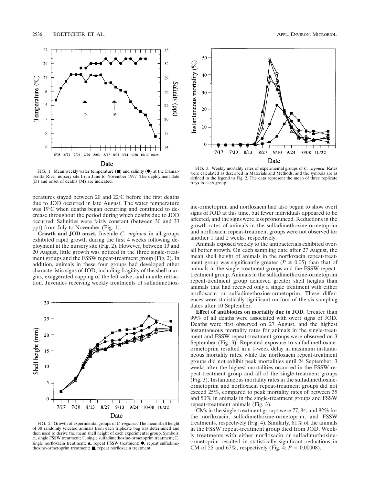

FIG. 1. Mean weekly water temperature  $(\blacksquare)$  and salinity  $(\lozenge)$  at the Damariscotta River nursery site from June to November 1997. The deployment date (D) and onset of deaths (M) are indicated.

peratures stayed between 20 and 22°C before the first deaths due to JOD occurred in late August. The water temperature was 19°C when deaths began occurring and continued to decrease throughout the period during which deaths due to JOD occurred. Salinities were fairly constant (between 30 and 33 ppt) from July to November (Fig. 1).

**Growth and JOD onset.** Juvenile *C. virginica* in all groups exhibited rapid growth during the first 4 weeks following deployment at the nursery site (Fig. 2). However, between 13 and 20 August, little growth was noticed in the three single-treatment groups and the FSSW repeat-treatment group (Fig. 2). In addition, animals in these four groups had developed other characteristic signs of JOD, including fragility of the shell margins, exaggerated cupping of the left valve, and mantle retraction. Juveniles receiving weekly treatments of sulfadimethox-



FIG. 2. Growth of experimental groups of *C. virginica*. The mean shell height of 30 randomly selected animals from each triplicate bag was determined and then used to derive the mean shell height of each experimental group. Symbols:  $\triangle$ , single FSSW treatment;  $\bigcirc$ , single sulfadimethoxine-ormetoprim treatment;  $\Box$ , single norfloxacin treatment;  $\blacktriangle$ , repeat FSSW treatment;  $\blacklozenge$ , repeat sulfadimethoxine-ormetoprim treatment; ■, repeat norfloxacin treatment.



FIG. 3. Weekly mortality rates of experimental groups of *C. virginica*. Rates were calculated as described in Materials and Methods, and the symbols are as defined in the legend to Fig. 2. The data represent the mean of three replicate trays in each group.

ine-ormetoprim and norfloxacin had also begun to show overt signs of JOD at this time, but fewer individuals appeared to be affected, and the signs were less pronounced. Reductions in the growth rates of animals in the sulfadimethoxine-ormetoprim and norfloxacin repeat-treatment groups were not observed for another 1 and 2 weeks, respectively.

Animals exposed weekly to the antibacterials exhibited overall better growth. On each sampling date after 27 August, the mean shell height of animals in the norfloxacin repeat-treatment group was significantly greater ( $P \le 0.05$ ) than that of animals in the single-treatment groups and the FSSW repeattreatment group. Animals in the sulfadimethoxine-ormetoprim repeat-treatment group achieved greater shell heights than animals that had received only a single treatment with either norfloxacin or sulfadimethoxine-ormetoprim. These differences were statistically significant on four of the six sampling dates after 10 September.

**Effect of antibiotics on mortality due to JOD.** Greater than 99% of all deaths were associated with overt signs of JOD. Deaths were first observed on 27 August, and the highest instantaneous mortality rates for animals in the single-treatment and FSSW repeat-treatment groups were observed on 3 September (Fig. 3). Repeated exposure to sulfadimethoxineormetoprim resulted in a 1-week delay in maximum instantaneous mortality rates, while the norfloxacin repeat-treatment groups did not exhibit peak mortalities until 24 September, 3 weeks after the highest mortalities occurred in the FSSW repeat-treatment group and all of the single-treatment groups (Fig. 3). Instantaneous mortality rates in the sulfadimethoxineormetoprim and norfloxacin repeat-treatment groups did not exceed 25%, compared to peak mortality rates of between 35 and 50% in animals in the single-treatment groups and FSSW repeat-treatment animals (Fig. 3).

CMs in the single-treatment groups were 77, 84, and 82% for the norfloxacin, sulfadimethoxine-ormetoprim, and FSSW treatments, respectively (Fig. 4). Similarly, 81% of the animals in the FSSW repeat-treatment group died from JOD. Weekly treatments with either norfloxacin or sulfadimethoxineormetoprim resulted in statistically significant reductions in CM of 55 and 67%, respectively (Fig. 4;  $P = 0.00008$ ).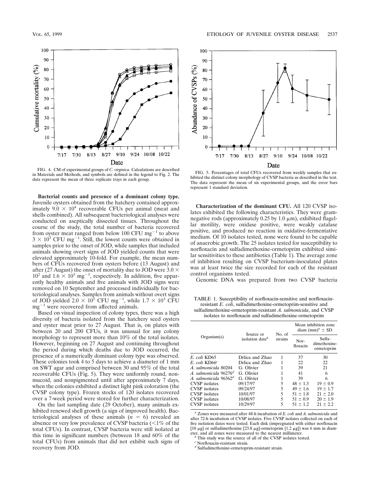

FIG. 4. CM of experimental groups of *C. virginica*. Calculations are described in Materials and Methods, and symbols are defined in the legend to Fig. 2. The data represent the mean of three replicate trays in each group.

**Bacterial counts and presence of a dominant colony type.** Juvenile oysters obtained from the hatchery contained approximately  $9.0 \times 10^4$  recoverable CFUs per animal (meat and shells combined). All subsequent bacteriological analyses were conducted on aseptically dissected tissues. Throughout the course of the study, the total number of bacteria recovered from oyster meat ranged from below 100 CFU mg<sup> $-1$ </sup> to above  $3 \times 10^3$  CFU mg<sup>-1</sup>. Still, the lowest counts were obtained in samples prior to the onset of JOD, while samples that included animals showing overt signs of JOD yielded counts that were elevated approximately 10-fold. For example, the mean numbers of CFUs recovered from oysters before (13 August) and after (27 August) the onset of mortality due to JOD were  $3.0 \times$  $10^2$  and  $1.6 \times 10^3$  mg<sup>-1</sup>, respectively. In addition, five apparently healthy animals and five animals with JOD signs were removed on 10 September and processed individually for bacteriological analyses. Samples from animals without overt signs of JOD yielded  $2.0 \times 10^2$  CFU mg<sup>-1</sup>, while  $1.7 \times 10^3$  CFU  $mg^{-1}$  were recovered from affected animals.

Based on visual inspection of colony types, there was a high diversity of bacteria isolated from the hatchery seed oysters and oyster meat prior to 27 August. That is, on plates with between 20 and 200 CFUs, it was unusual for any colony morphology to represent more than 10% of the total isolates. However, beginning on 27 August and continuing throughout the period during which deaths due to JOD occurred, the presence of a numerically dominant colony type was observed. These colonies took 4 to 5 days to achieve a diameter of 1 mm on SWT agar and comprised between 30 and 95% of the total recoverable CFUs (Fig. 5). They were uniformly round, nonmucoid, and nonpigmented until after approximately 7 days, when the colonies exhibited a distinct light pink coloration (the CVSP colony type). Frozen stocks of 120 isolates recovered over a 7-week period were stored for further characterization.

On the last sampling date (29 October), many animals exhibited renewed shell growth (a sign of improved health). Bacteriological analyses of these animals  $(n = 6)$  revealed an absence or very low prevalence of CVSP bacteria  $\left( \langle 1\% \rangle \right)$  of the total CFUs). In contrast, CVSP bacteria were still isolated at this time in significant numbers (between 18 and 60% of the total CFUs) from animals that did not exhibit such signs of recovery from JOD.



FIG. 5. Percentages of total CFUs recovered from weekly samples that exhibited the distinct colony morphology of CVSP bacteria as described in the text. The data represent the mean of six experimental groups, and the error bars represent 1 standard deviation.

**Characterization of the dominant CFU.** All 120 CVSP isolates exhibited the following characteristics. They were gramnegative rods (approximately  $0.25$  by  $1.0 \mu m$ ), exhibited flagellar motility, were oxidase positive, were weakly catalase positive, and produced no reaction in oxidative-fermentative medium. Of 10 isolates tested, none were found to be capable of anaerobic growth. The 25 isolates tested for susceptibility to norfloxacin and sulfadimethoxine-ormetoprim exhibited similar sensitivities to these antibiotics (Table 1). The average zone of inhibition resulting on CVSP bacterium-inoculated plates was at least twice the size recorded for each of the resistant control organisms tested.

Genomic DNA was prepared from two CVSP bacteria

TABLE 1. Susceptibility of norfloxacin-sensitive and norfloxacinresistant *E. coli*, sulfadimethoxine-ormetoprim-sensitive and sulfadimethoxine-ormetoprim-resistant *A. salmonicida*, and CVSP isolates to norfloxacin and sulfadimethoxine-ormetoprim

| Organism(s)                       | Source or<br>isolation date <sup>b</sup> | No. of<br>strains | Mean inhibition zone<br>diam $(mm)^a \pm SD$ |                                      |
|-----------------------------------|------------------------------------------|-------------------|----------------------------------------------|--------------------------------------|
|                                   |                                          |                   | Nor-<br>floxacin                             | Sulfa-<br>dimethoxine-<br>ormetoprim |
| E. coli KD65                      | Drlica and Zhao                          | 1                 | 37                                           | 30                                   |
| $E.$ coli KD66 <sup>c</sup>       | Drlica and Zhao                          |                   | 22                                           | 22                                   |
| A. salmonicida 80204              | G. Olivier                               |                   | 39                                           | 21                                   |
| A. salmonicida 96276 <sup>d</sup> | G. Olivier                               |                   | 41                                           | 6                                    |
| A. salmonicida $96362^d$          | G. Olivier                               | 1                 | 39                                           | 6                                    |
| <b>CVSP</b> isolates              | 09/17/97                                 | 5                 | $48 \pm 1.3$                                 | $19 \pm 0.9$                         |
| <b>CVSP</b> isolates              | 09/24/97                                 | 5                 | $49 \pm 1.6$                                 | $19 \pm 1.7$                         |
| <b>CVSP</b> isolates              | 10/01/97                                 | 5                 | $51 \pm 1.8$                                 | $21 \pm 2.0$                         |
| <b>CVSP</b> isolates              | 10/08/97                                 | 5                 | $51 \pm 0.9$                                 | $20 \pm 1.9$                         |
| <b>CVSP</b> isolates              | 10/29/97                                 | 5                 | $51 \pm 1.2$                                 | $21 \pm 2.2$                         |

*<sup>a</sup>* Zones were measured after 48-h incubation of *E. coli* and *A. salmonicida* and after 72-h incubation of CVSP isolates. Five CVSP isolates collected on each of five isolation dates were tested. Each disk (impregnated with either norfloxacin [10  $\mu$ g] or sulfadimethoxine [23.8  $\mu$ g]-ormetoprim [1.2  $\mu$ g]) was 6 mm in diam-<br>eter, and all zones were measured to the nearest millimeter.

<sup>b</sup> This study was the source of all of the CVSP isolates tested.

*<sup>c</sup>* Norfloxacin-resistant strain.

*<sup>d</sup>* Sulfadimethoxine-ormetoprim-resistant strain.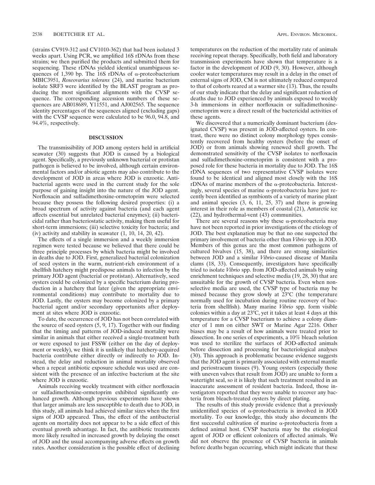(strains CV919-312 and CV1010-362) that had been isolated 3 weeks apart. Using PCR, we amplified 16S rDNAs from these strains; we then purified the products and submitted them for sequencing. These rDNAs yielded identical unambiguous sequences of 1,390 bp. The 16S rDNAs of  $\alpha$ -proteobacterium MBIC3951, *Roseovarius tolerans* (24), and marine bacterium isolate SRF3 were identified by the BLAST program as producing the most significant alignments with the CVSP sequence. The corresponding accession numbers of these sequences are AB018689, Y11551, and AJ002565. The sequence identity percentages of the sequences aligned (excluding gaps) with the CVSP sequence were calculated to be 96.0, 94.8, and 94.4%, respectively.

#### **DISCUSSION**

The transmissibility of JOD among oysters held in artificial seawater (30) suggests that JOD is caused by a biological agent. Specifically, a previously unknown bacterial or protistan pathogen is believed to be involved, although certain environmental factors and/or abiotic agents may also contribute to the development of JOD in areas where JOD is enzootic. Antibacterial agents were used in the current study for the sole purpose of gaining insight into the nature of the JOD agent. Norfloxacin and sulfadimethoxine-ormetoprim were selected because they possess the following desired properties: (i) a broad spectrum of activity against bacteria (and each agent affects essential but unrelated bacterial enzymes); (ii) bactericidal rather than bacteriostatic activity, making them useful for short-term immersions; (iii) selective toxicity for bacteria; and (iv) activity and stability in seawater  $(1, 10, 14, 20, 42)$ .

The effects of a single immersion and a weekly immersion regimen were tested because we believed that there could be three principle processes by which bacteria might be involved in deaths due to JOD. First, generalized bacterial colonization of seed oysters in the warm, nutrient-rich environment of a shellfish hatchery might predispose animals to infection by the primary JOD agent (bacterial or protistan). Alternatively, seed oysters could be colonized by a specific bacterium during production in a hatchery that later (given the appropriate environmental conditions) may contribute to mortality due to JOD. Lastly, the oysters may become colonized by a primary bacterial agent and/or secondary opportunists after deployment at sites where JOD is enzootic.

To date, the occurrence of JOD has not been correlated with the source of seed oysters (5, 9, 17). Together with our finding that the timing and patterns of JOD-induced mortality were similar in animals that either received a single-treatment bath or were exposed to just FSSW (either on the day of deployment or weekly), we think it is unlikely that hatchery-acquired bacteria contribute either directly or indirectly to JOD. Instead, the delay and reduction in animal mortality observed when a repeat antibiotic exposure schedule was used are consistent with the presence of an infective bacterium at the site where JOD is enzootic.

Animals receiving weekly treatment with either norfloxacin or sulfadimethoxine-ormetoprim exhibited significantly enhanced growth. Although previous experiments have shown that larger animals are less susceptible to death due to JOD, in this study, all animals had achieved similar sizes when the first signs of JOD appeared. Thus, the effect of the antibacterial agents on mortality does not appear to be a side effect of this eventual growth advantage. In fact, the antibiotic treatments more likely resulted in increased growth by delaying the onset of JOD and the usual accompanying adverse effects on growth rates. Another consideration is the possible effect of declining

temperatures on the reduction of the mortality rate of animals receiving repeat therapy. Specifically, both field and laboratory transmission experiments have shown that temperature is a factor in the development of JOD (9, 30). However, although cooler water temperatures may result in a delay in the onset of external signs of JOD, CM is not ultimately reduced compared to that of cohorts reared at a warmer site (13). Thus, the results of our study indicate that the delay and significant reduction of deaths due to JOD experienced by animals exposed to weekly 3-h immersions in either norfloxacin or sulfadimethoxineormetoprim were a direct result of the bactericidal activities of these agents.

We discovered that a numerically dominant bacterium (designated CVSP) was present in JOD-affected oysters. In contrast, there were no distinct colony morphology types consistently recovered from healthy oysters (before the onset of JOD) or from animals showing renewed shell growth. The demonstrated sensitivity of the CVSP isolates to norfloxacin and sulfadimethoxine-ormetoprim is consistent with a proposed role for these bacteria in mortality due to JOD. The 16S rDNA sequences of two representative CVSP isolates were found to be identical and aligned most closely with the 16S rDNAs of marine members of the  $\alpha$ -proteobacteria. Interestingly, several species of marine  $\alpha$ -proteobacteria have just recently been identified as symbionts of a variety of marine plant and animal species  $(3, 6, 11, 25, 37)$  and there is growing interest in their role as members of coastal (21), Antarctic ice (22), and hydrothermal-vent (43) communities.

There are several reasons why these  $\alpha$ -proteobacteria may have not been reported in prior investigations of the etiology of JOD. The best explanation may be that no one suspected the primary involvement of bacteria other than *Vibrio* spp. in JOD. Members of this genus are the most common pathogens of cultured bivalves (15, 38), and there are strong similarities between JOD and a similar *Vibrio*-caused disease of Manila clams (18, 33). Consequently, investigators have specifically tried to isolate *Vibrio* spp. from JOD-affected animals by using enrichment techniques and selective media (19, 28, 30) that are unsuitable for the growth of CVSP bacteria. Even when nonselective media are used, the CVSP type of bacteria may be missed because they grow slowly at 23°C (the temperature normally used for incubation during routine recovery of bacteria from shellfish). Many marine *Vibrio* spp. form visible colonies within a day at 23°C, yet it takes at least 4 days at this temperature for a CVSP bacterium to achieve a colony diameter of 1 mm on either SWT or Marine Agar 2216. Other biases may be a result of how animals were treated prior to dissection. In one series of experiments, a 10% bleach solution was used to sterilize the surfaces of JOD-affected animals before dissection and processing for bacteriological analyses (30). This approach is problematic because evidence suggests that the JOD agent is primarily associated with external mantle and periostracum tissues (9). Young oysters (especially those with uneven valves that result from JOD) are unable to form a watertight seal, so it is likely that such treatment resulted in an inaccurate assessment of resident bacteria. Indeed, those investigators reported that they were unable to recover any bacteria from bleach-treated oysters by direct plating.

The results of this study provide evidence that a previously unidentified species of  $\alpha$ -proteobacteria is involved in JOD mortality. To our knowledge, this study also documents the first successful cultivation of marine  $\alpha$ -proteobacteria from a defined animal host. CVSP bacteria may be the etiological agent of JOD or efficient colonizers of affected animals. We did not observe the presence of CVSP bacteria in animals before deaths began occurring, which might indicate that these